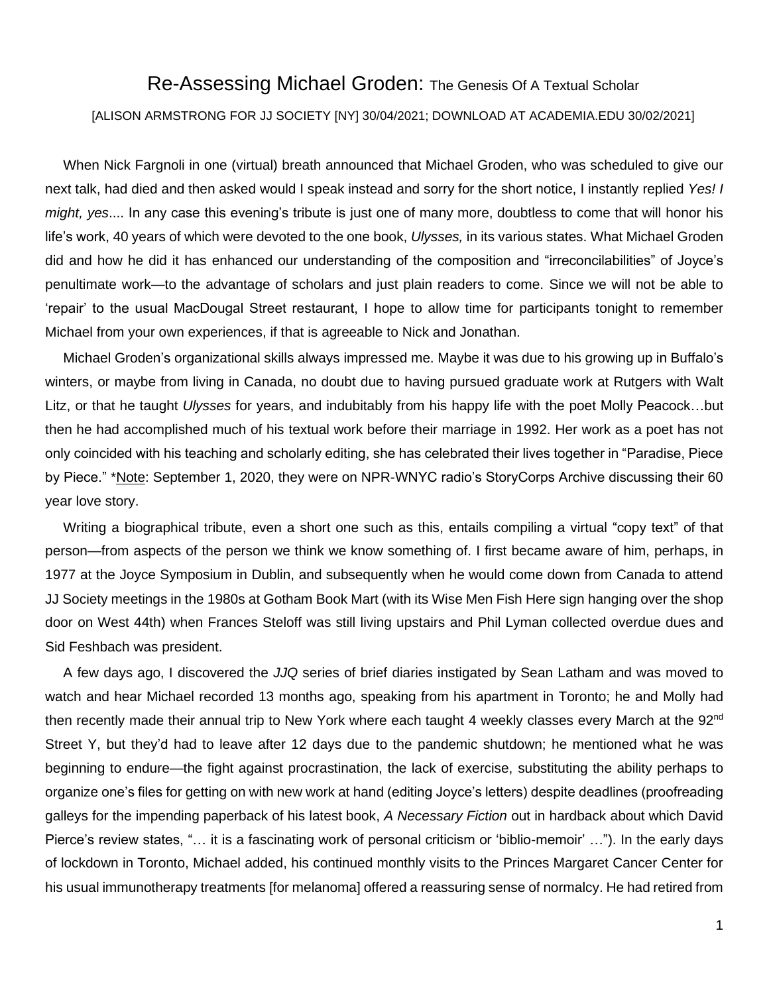## Re-Assessing Michael Groden: The Genesis Of A Textual Scholar

## [ALISON ARMSTRONG FOR JJ SOCIETY [NY] 30/04/2021; DOWNLOAD AT ACADEMIA.EDU 30/02/2021]

When Nick Fargnoli in one (virtual) breath announced that Michael Groden, who was scheduled to give our next talk, had died and then asked would I speak instead and sorry for the short notice, I instantly replied *Yes! I might, yes*.... In any case this evening's tribute is just one of many more, doubtless to come that will honor his life's work, 40 years of which were devoted to the one book, *Ulysses,* in its various states. What Michael Groden did and how he did it has enhanced our understanding of the composition and "irreconcilabilities" of Joyce's penultimate work—to the advantage of scholars and just plain readers to come. Since we will not be able to 'repair' to the usual MacDougal Street restaurant, I hope to allow time for participants tonight to remember Michael from your own experiences, if that is agreeable to Nick and Jonathan.

Michael Groden's organizational skills always impressed me. Maybe it was due to his growing up in Buffalo's winters, or maybe from living in Canada, no doubt due to having pursued graduate work at Rutgers with Walt Litz, or that he taught *Ulysses* for years, and indubitably from his happy life with the poet Molly Peacock…but then he had accomplished much of his textual work before their marriage in 1992. Her work as a poet has not only coincided with his teaching and scholarly editing, she has celebrated their lives together in "Paradise, Piece by Piece." \*Note: September 1, 2020, they were on NPR-WNYC radio's StoryCorps Archive discussing their 60 year love story.

Writing a biographical tribute, even a short one such as this, entails compiling a virtual "copy text" of that person—from aspects of the person we think we know something of. I first became aware of him, perhaps, in 1977 at the Joyce Symposium in Dublin, and subsequently when he would come down from Canada to attend JJ Society meetings in the 1980s at Gotham Book Mart (with its Wise Men Fish Here sign hanging over the shop door on West 44th) when Frances Steloff was still living upstairs and Phil Lyman collected overdue dues and Sid Feshbach was president.

A few days ago, I discovered the *JJQ* series of brief diaries instigated by Sean Latham and was moved to watch and hear Michael recorded 13 months ago, speaking from his apartment in Toronto; he and Molly had then recently made their annual trip to New York where each taught 4 weekly classes every March at the 92<sup>nd</sup> Street Y, but they'd had to leave after 12 days due to the pandemic shutdown; he mentioned what he was beginning to endure—the fight against procrastination, the lack of exercise, substituting the ability perhaps to organize one's files for getting on with new work at hand (editing Joyce's letters) despite deadlines (proofreading galleys for the impending paperback of his latest book, *A Necessary Fiction* out in hardback about which David Pierce's review states, "… it is a fascinating work of personal criticism or 'biblio-memoir' …"). In the early days of lockdown in Toronto, Michael added, his continued monthly visits to the Princes Margaret Cancer Center for his usual immunotherapy treatments [for melanoma] offered a reassuring sense of normalcy. He had retired from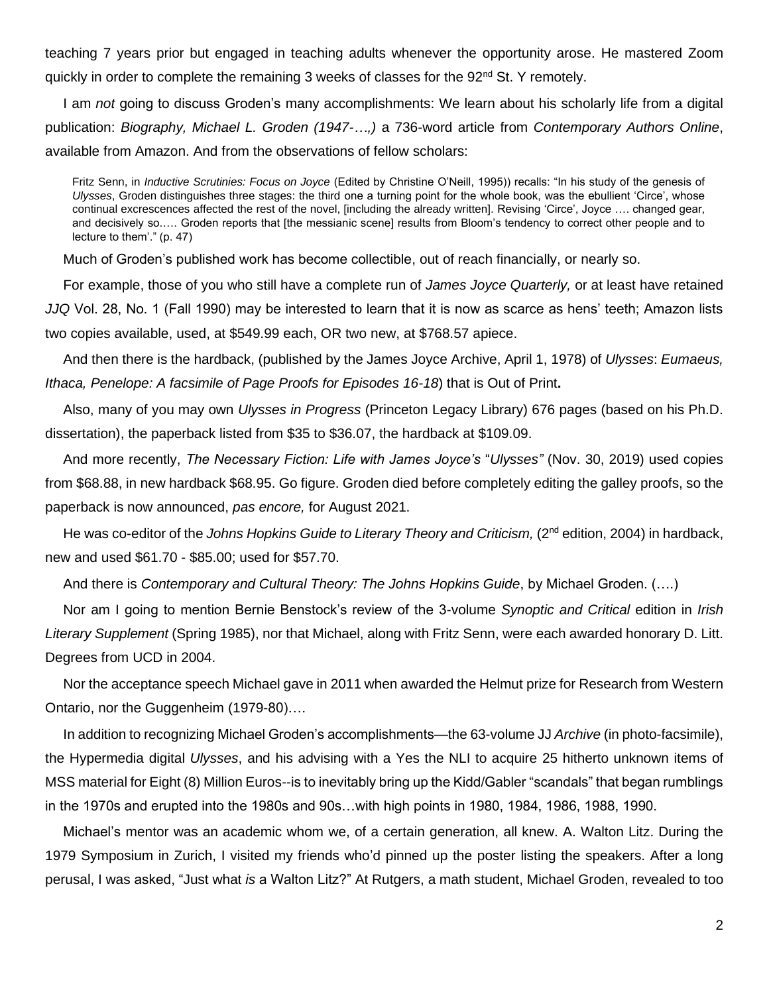teaching 7 years prior but engaged in teaching adults whenever the opportunity arose. He mastered Zoom quickly in order to complete the remaining 3 weeks of classes for the  $92<sup>nd</sup>$  St. Y remotely.

I am *not* going to discuss Groden's many accomplishments: We learn about his scholarly life from a digital publication: *Biography, Michael L. Groden (1947-…,)* a 736-word article from *Contemporary Authors Online*, available from Amazon. And from the observations of fellow scholars:

Fritz Senn, in *Inductive Scrutinies: Focus on Joyce* (Edited by Christine O'Neill, 1995)) recalls: "In his study of the genesis of *Ulysses*, Groden distinguishes three stages: the third one a turning point for the whole book, was the ebullient 'Circe', whose continual excrescences affected the rest of the novel, [including the already written]. Revising 'Circe', Joyce …. changed gear, and decisively so.…. Groden reports that [the messianic scene] results from Bloom's tendency to correct other people and to lecture to them'." (p. 47)

Much of Groden's published work has become collectible, out of reach financially, or nearly so.

For example, those of you who still have a complete run of *James Joyce Quarterly,* or at least have retained *JJQ* Vol. 28, No. 1 (Fall 1990) may be interested to learn that it is now as scarce as hens' teeth; Amazon lists two copies available, used, at \$549.99 each, OR two new, at \$768.57 apiece.

And then there is the hardback, (published by the James Joyce Archive, April 1, 1978) of *Ulysses*: *Eumaeus, Ithaca, Penelope: A facsimile of Page Proofs for Episodes 16-18*) that is Out of Print**.**

Also, many of you may own *Ulysses in Progress* (Princeton Legacy Library) 676 pages (based on his Ph.D. dissertation), the paperback listed from \$35 to \$36.07, the hardback at \$109.09.

And more recently, *The Necessary Fiction: Life with James Joyce's* "*Ulysses"* (Nov. 30, 2019) used copies from \$68.88, in new hardback \$68.95. Go figure. Groden died before completely editing the galley proofs, so the paperback is now announced, *pas encore,* for August 2021.

He was co-editor of the *Johns Hopkins Guide to Literary Theory and Criticism,* (2nd edition, 2004) in hardback, new and used \$61.70 - \$85.00; used for \$57.70.

And there is *Contemporary and Cultural Theory: The Johns Hopkins Guide*, by Michael Groden. (….)

Nor am I going to mention Bernie Benstock's review of the 3-volume *Synoptic and Critical* edition in *Irish Literary Supplement* (Spring 1985), nor that Michael, along with Fritz Senn, were each awarded honorary D. Litt. Degrees from UCD in 2004.

Nor the acceptance speech Michael gave in 2011 when awarded the Helmut prize for Research from Western Ontario, nor the Guggenheim (1979-80)….

In addition to recognizing Michael Groden's accomplishments—the 63-volume JJ *Archive* (in photo-facsimile), the Hypermedia digital *Ulysses*, and his advising with a Yes the NLI to acquire 25 hitherto unknown items of MSS material for Eight (8) Million Euros--is to inevitably bring up the Kidd/Gabler "scandals" that began rumblings in the 1970s and erupted into the 1980s and 90s…with high points in 1980, 1984, 1986, 1988, 1990.

Michael's mentor was an academic whom we, of a certain generation, all knew. A. Walton Litz. During the 1979 Symposium in Zurich, I visited my friends who'd pinned up the poster listing the speakers. After a long perusal, I was asked, "Just what *is* a Walton Litz?" At Rutgers, a math student, Michael Groden, revealed to too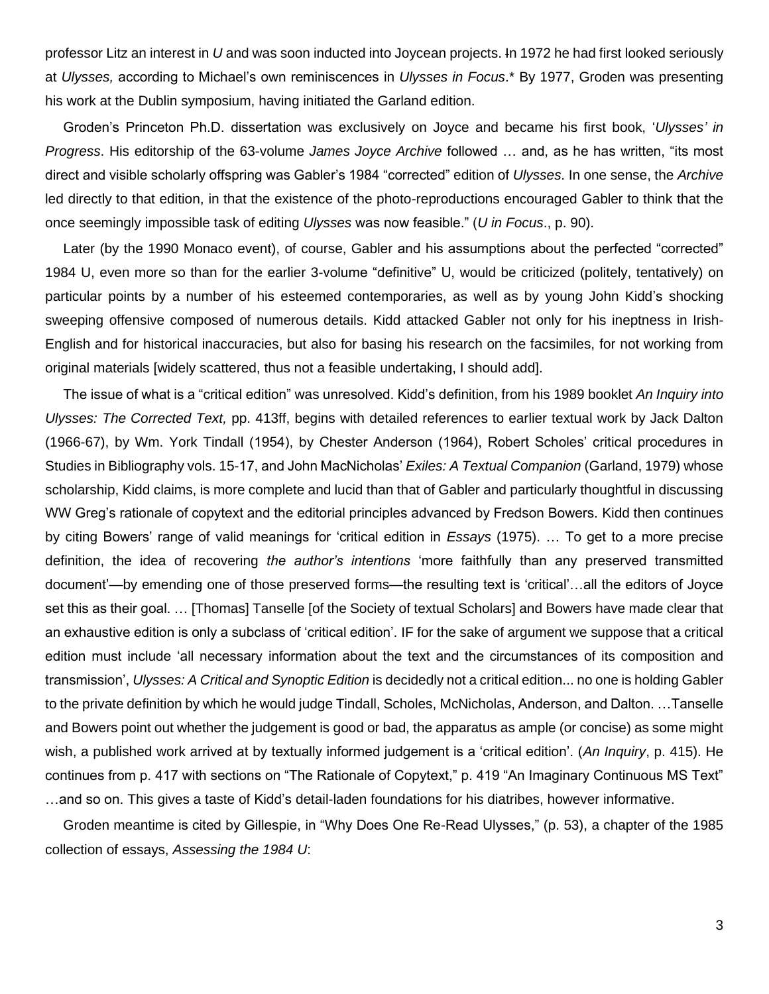professor Litz an interest in *U* and was soon inducted into Joycean projects. In 1972 he had first looked seriously at *Ulysses,* according to Michael's own reminiscences in *Ulysses in Focus*.\* By 1977, Groden was presenting his work at the Dublin symposium, having initiated the Garland edition.

Groden's Princeton Ph.D. dissertation was exclusively on Joyce and became his first book, '*Ulysses' in Progress*. His editorship of the 63-volume *James Joyce Archive* followed … and, as he has written, "its most direct and visible scholarly offspring was Gabler's 1984 "corrected" edition of *Ulysses*. In one sense, the *Archive* led directly to that edition, in that the existence of the photo-reproductions encouraged Gabler to think that the once seemingly impossible task of editing *Ulysses* was now feasible." (*U in Focus*., p. 90).

Later (by the 1990 Monaco event), of course, Gabler and his assumptions about the perfected "corrected" 1984 U, even more so than for the earlier 3-volume "definitive" U, would be criticized (politely, tentatively) on particular points by a number of his esteemed contemporaries, as well as by young John Kidd's shocking sweeping offensive composed of numerous details. Kidd attacked Gabler not only for his ineptness in Irish-English and for historical inaccuracies, but also for basing his research on the facsimiles, for not working from original materials [widely scattered, thus not a feasible undertaking, I should add].

The issue of what is a "critical edition" was unresolved. Kidd's definition, from his 1989 booklet *An Inquiry into Ulysses: The Corrected Text,* pp. 413ff, begins with detailed references to earlier textual work by Jack Dalton (1966-67), by Wm. York Tindall (1954), by Chester Anderson (1964), Robert Scholes' critical procedures in Studies in Bibliography vols. 15-17, and John MacNicholas' *Exiles: A Textual Companion* (Garland, 1979) whose scholarship, Kidd claims, is more complete and lucid than that of Gabler and particularly thoughtful in discussing WW Greg's rationale of copytext and the editorial principles advanced by Fredson Bowers. Kidd then continues by citing Bowers' range of valid meanings for 'critical edition in *Essays* (1975). … To get to a more precise definition, the idea of recovering *the author's intentions* 'more faithfully than any preserved transmitted document'—by emending one of those preserved forms—the resulting text is 'critical'…all the editors of Joyce set this as their goal. ... [Thomas] Tanselle [of the Society of textual Scholars] and Bowers have made clear that an exhaustive edition is only a subclass of 'critical edition'. IF for the sake of argument we suppose that a critical edition must include 'all necessary information about the text and the circumstances of its composition and transmission', *Ulysses: A Critical and Synoptic Edition* is decidedly not a critical edition... no one is holding Gabler to the private definition by which he would judge Tindall, Scholes, McNicholas, Anderson, and Dalton. …Tanselle and Bowers point out whether the judgement is good or bad, the apparatus as ample (or concise) as some might wish, a published work arrived at by textually informed judgement is a 'critical edition'. (*An Inquiry*, p. 415). He continues from p. 417 with sections on "The Rationale of Copytext," p. 419 "An Imaginary Continuous MS Text" …and so on. This gives a taste of Kidd's detail-laden foundations for his diatribes, however informative.

Groden meantime is cited by Gillespie, in "Why Does One Re-Read Ulysses," (p. 53), a chapter of the 1985 collection of essays, *Assessing the 1984 U*: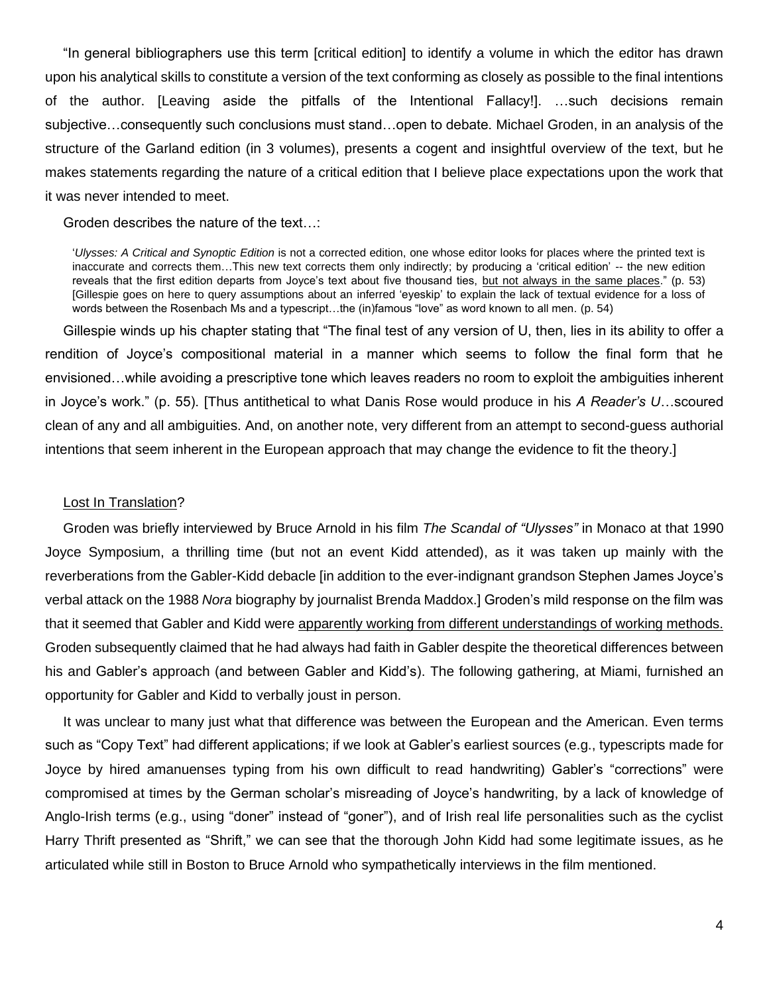"In general bibliographers use this term [critical edition] to identify a volume in which the editor has drawn upon his analytical skills to constitute a version of the text conforming as closely as possible to the final intentions of the author. [Leaving aside the pitfalls of the Intentional Fallacy!]. …such decisions remain subjective…consequently such conclusions must stand…open to debate. Michael Groden, in an analysis of the structure of the Garland edition (in 3 volumes), presents a cogent and insightful overview of the text, but he makes statements regarding the nature of a critical edition that I believe place expectations upon the work that it was never intended to meet.

Groden describes the nature of the text…:

'*Ulysses: A Critical and Synoptic Edition* is not a corrected edition, one whose editor looks for places where the printed text is inaccurate and corrects them...This new text corrects them only indirectly; by producing a 'critical edition' -- the new edition reveals that the first edition departs from Joyce's text about five thousand ties, but not always in the same places." (p. 53) [Gillespie goes on here to query assumptions about an inferred 'eyeskip' to explain the lack of textual evidence for a loss of words between the Rosenbach Ms and a typescript…the (in)famous "love" as word known to all men. (p. 54)

Gillespie winds up his chapter stating that "The final test of any version of U, then, lies in its ability to offer a rendition of Joyce's compositional material in a manner which seems to follow the final form that he envisioned…while avoiding a prescriptive tone which leaves readers no room to exploit the ambiguities inherent in Joyce's work." (p. 55). [Thus antithetical to what Danis Rose would produce in his *A Reader's U*…scoured clean of any and all ambiguities. And, on another note, very different from an attempt to second-guess authorial intentions that seem inherent in the European approach that may change the evidence to fit the theory.]

## Lost In Translation?

Groden was briefly interviewed by Bruce Arnold in his film *The Scandal of "Ulysses"* in Monaco at that 1990 Joyce Symposium, a thrilling time (but not an event Kidd attended), as it was taken up mainly with the reverberations from the Gabler-Kidd debacle [in addition to the ever-indignant grandson Stephen James Joyce's verbal attack on the 1988 *Nora* biography by journalist Brenda Maddox.] Groden's mild response on the film was that it seemed that Gabler and Kidd were apparently working from different understandings of working methods. Groden subsequently claimed that he had always had faith in Gabler despite the theoretical differences between his and Gabler's approach (and between Gabler and Kidd's). The following gathering, at Miami, furnished an opportunity for Gabler and Kidd to verbally joust in person.

It was unclear to many just what that difference was between the European and the American. Even terms such as "Copy Text" had different applications; if we look at Gabler's earliest sources (e.g., typescripts made for Joyce by hired amanuenses typing from his own difficult to read handwriting) Gabler's "corrections" were compromised at times by the German scholar's misreading of Joyce's handwriting, by a lack of knowledge of Anglo-Irish terms (e.g., using "doner" instead of "goner"), and of Irish real life personalities such as the cyclist Harry Thrift presented as "Shrift," we can see that the thorough John Kidd had some legitimate issues, as he articulated while still in Boston to Bruce Arnold who sympathetically interviews in the film mentioned.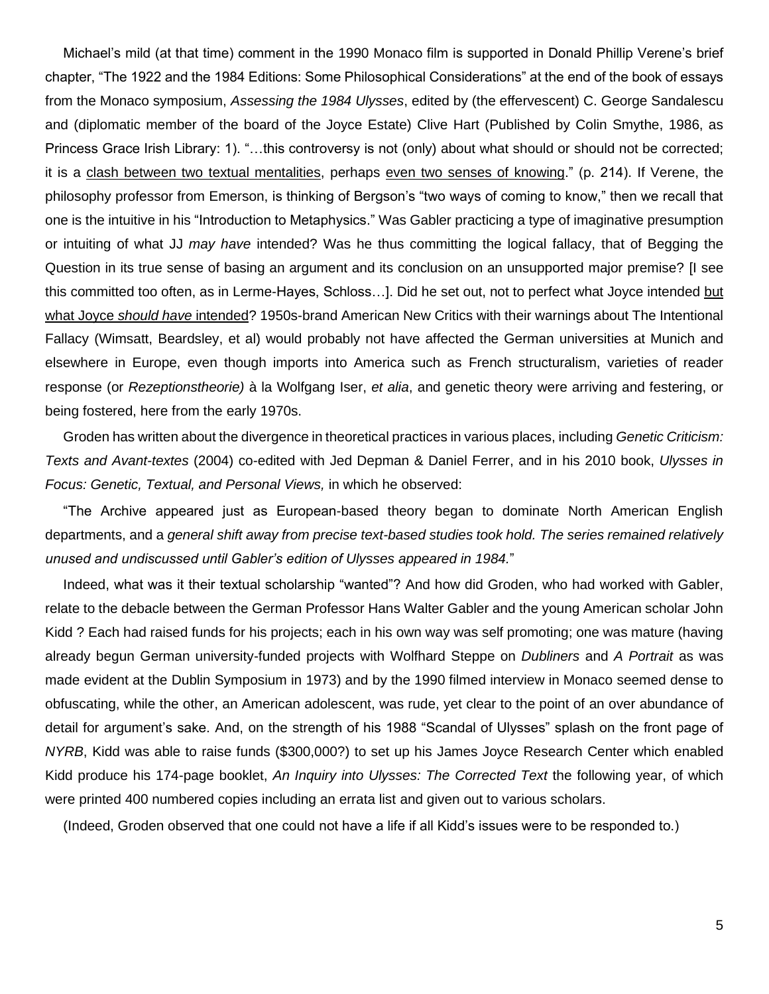Michael's mild (at that time) comment in the 1990 Monaco film is supported in Donald Phillip Verene's brief chapter, "The 1922 and the 1984 Editions: Some Philosophical Considerations" at the end of the book of essays from the Monaco symposium, *Assessing the 1984 Ulysses*, edited by (the effervescent) C. George Sandalescu and (diplomatic member of the board of the Joyce Estate) Clive Hart (Published by Colin Smythe, 1986, as Princess Grace Irish Library: 1). "…this controversy is not (only) about what should or should not be corrected; it is a clash between two textual mentalities, perhaps even two senses of knowing." (p. 214). If Verene, the philosophy professor from Emerson, is thinking of Bergson's "two ways of coming to know," then we recall that one is the intuitive in his "Introduction to Metaphysics." Was Gabler practicing a type of imaginative presumption or intuiting of what JJ *may have* intended? Was he thus committing the logical fallacy, that of Begging the Question in its true sense of basing an argument and its conclusion on an unsupported major premise? [I see this committed too often, as in Lerme-Hayes, Schloss…]. Did he set out, not to perfect what Joyce intended but what Joyce *should have* intended? 1950s-brand American New Critics with their warnings about The Intentional Fallacy (Wimsatt, Beardsley, et al) would probably not have affected the German universities at Munich and elsewhere in Europe, even though imports into America such as French structuralism, varieties of reader response (or *Rezeptionstheorie)* à la Wolfgang Iser, *et alia*, and genetic theory were arriving and festering, or being fostered, here from the early 1970s.

Groden has written about the divergence in theoretical practices in various places, including *Genetic Criticism: Texts and Avant-textes* (2004) co-edited with Jed Depman & Daniel Ferrer, and in his 2010 book, *Ulysses in Focus: Genetic, Textual, and Personal Views,* in which he observed:

"The Archive appeared just as European-based theory began to dominate North American English departments, and a *general shift away from precise text-based studies took hold. The series remained relatively unused and undiscussed until Gabler's edition of Ulysses appeared in 1984.*"

Indeed, what was it their textual scholarship "wanted"? And how did Groden, who had worked with Gabler, relate to the debacle between the German Professor Hans Walter Gabler and the young American scholar John Kidd ? Each had raised funds for his projects; each in his own way was self promoting; one was mature (having already begun German university-funded projects with Wolfhard Steppe on *Dubliners* and *A Portrait* as was made evident at the Dublin Symposium in 1973) and by the 1990 filmed interview in Monaco seemed dense to obfuscating, while the other, an American adolescent, was rude, yet clear to the point of an over abundance of detail for argument's sake. And, on the strength of his 1988 "Scandal of Ulysses" splash on the front page of *NYRB*, Kidd was able to raise funds (\$300,000?) to set up his James Joyce Research Center which enabled Kidd produce his 174-page booklet, *An Inquiry into Ulysses: The Corrected Text* the following year, of which were printed 400 numbered copies including an errata list and given out to various scholars.

(Indeed, Groden observed that one could not have a life if all Kidd's issues were to be responded to.)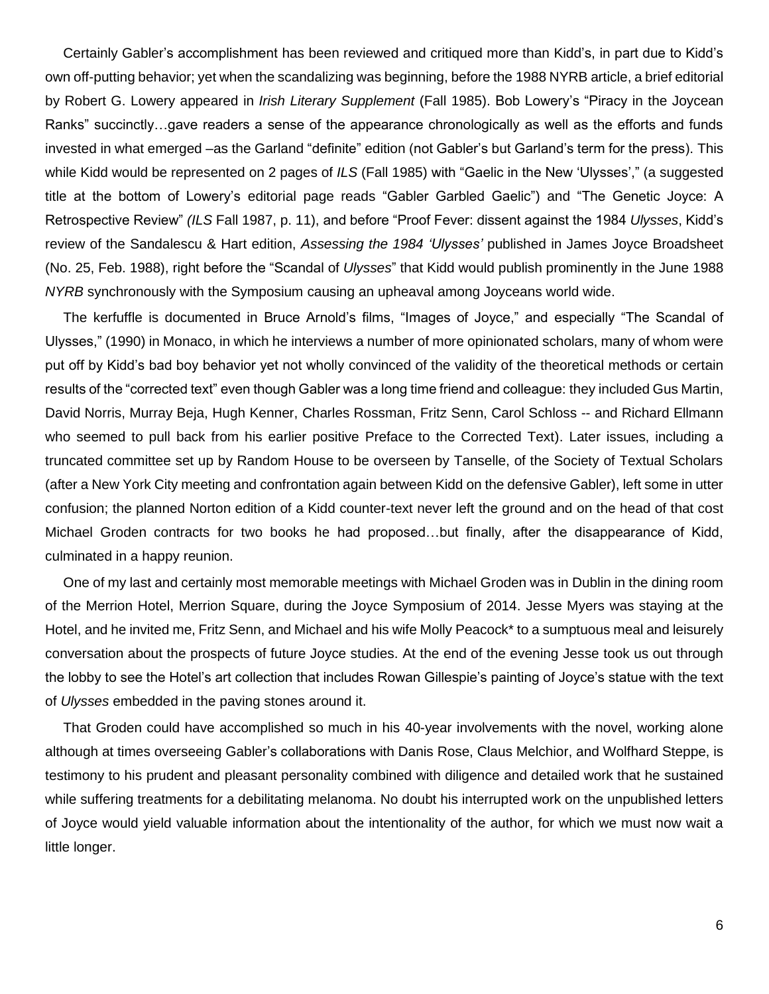Certainly Gabler's accomplishment has been reviewed and critiqued more than Kidd's, in part due to Kidd's own off-putting behavior; yet when the scandalizing was beginning, before the 1988 NYRB article, a brief editorial by Robert G. Lowery appeared in *Irish Literary Supplement* (Fall 1985). Bob Lowery's "Piracy in the Joycean Ranks" succinctly…gave readers a sense of the appearance chronologically as well as the efforts and funds invested in what emerged –as the Garland "definite" edition (not Gabler's but Garland's term for the press). This while Kidd would be represented on 2 pages of *ILS* (Fall 1985) with "Gaelic in the New 'Ulysses'," (a suggested title at the bottom of Lowery's editorial page reads "Gabler Garbled Gaelic") and "The Genetic Joyce: A Retrospective Review" *(ILS* Fall 1987, p. 11), and before "Proof Fever: dissent against the 1984 *Ulysses*, Kidd's review of the Sandalescu & Hart edition, *Assessing the 1984 'Ulysses'* published in James Joyce Broadsheet (No. 25, Feb. 1988), right before the "Scandal of *Ulysses*" that Kidd would publish prominently in the June 1988 *NYRB* synchronously with the Symposium causing an upheaval among Joyceans world wide.

The kerfuffle is documented in Bruce Arnold's films, "Images of Joyce," and especially "The Scandal of Ulysses," (1990) in Monaco, in which he interviews a number of more opinionated scholars, many of whom were put off by Kidd's bad boy behavior yet not wholly convinced of the validity of the theoretical methods or certain results of the "corrected text" even though Gabler was a long time friend and colleague: they included Gus Martin, David Norris, Murray Beja, Hugh Kenner, Charles Rossman, Fritz Senn, Carol Schloss -- and Richard Ellmann who seemed to pull back from his earlier positive Preface to the Corrected Text). Later issues, including a truncated committee set up by Random House to be overseen by Tanselle, of the Society of Textual Scholars (after a New York City meeting and confrontation again between Kidd on the defensive Gabler), left some in utter confusion; the planned Norton edition of a Kidd counter-text never left the ground and on the head of that cost Michael Groden contracts for two books he had proposed…but finally, after the disappearance of Kidd, culminated in a happy reunion.

One of my last and certainly most memorable meetings with Michael Groden was in Dublin in the dining room of the Merrion Hotel, Merrion Square, during the Joyce Symposium of 2014. Jesse Myers was staying at the Hotel, and he invited me, Fritz Senn, and Michael and his wife Molly Peacock\* to a sumptuous meal and leisurely conversation about the prospects of future Joyce studies. At the end of the evening Jesse took us out through the lobby to see the Hotel's art collection that includes Rowan Gillespie's painting of Joyce's statue with the text of *Ulysses* embedded in the paving stones around it.

That Groden could have accomplished so much in his 40-year involvements with the novel, working alone although at times overseeing Gabler's collaborations with Danis Rose, Claus Melchior, and Wolfhard Steppe, is testimony to his prudent and pleasant personality combined with diligence and detailed work that he sustained while suffering treatments for a debilitating melanoma. No doubt his interrupted work on the unpublished letters of Joyce would yield valuable information about the intentionality of the author, for which we must now wait a little longer.